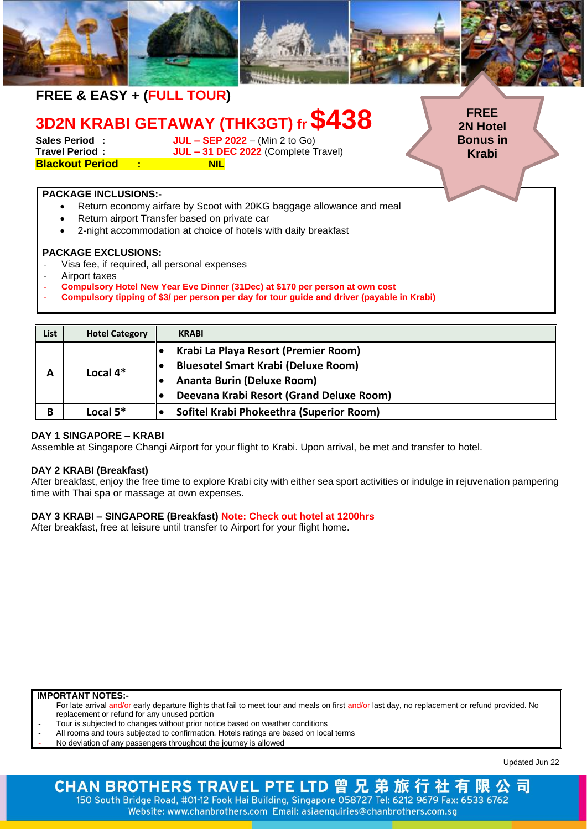|             | FREE & EASY + (FULL TOUR)                              |                                                                                                                                                                                                                            |                                 |
|-------------|--------------------------------------------------------|----------------------------------------------------------------------------------------------------------------------------------------------------------------------------------------------------------------------------|---------------------------------|
|             |                                                        | 3D2N KRABI GETAWAY (THK3GT) fr \$438                                                                                                                                                                                       | <b>FREE</b><br><b>2N Hotel</b>  |
|             | Sales Period:<br><b>Blackout Period : Except State</b> | <b>JUL - SEP 2022</b> - (Min 2 to Go)<br>Travel Period : JUL - 31 DEC 2022 (Complete Travel)<br><b>NIL</b>                                                                                                                 | <b>Bonus in</b><br><b>Krabi</b> |
|             | <b>PACKAGE INCLUSIONS:-</b>                            | Return economy airfare by Scoot with 20KG baggage allowance and meal<br>Return airport Transfer based on private car<br>2-night accommodation at choice of hotels with daily breakfast                                     |                                 |
|             | <b>PACKAGE EXCLUSIONS:</b><br>Airport taxes            | Visa fee, if required, all personal expenses<br>Compulsory Hotel New Year Eve Dinner (31Dec) at \$170 per person at own cost<br>Compulsory tipping of \$3/ per person per day for tour guide and driver (payable in Krabi) |                                 |
|             |                                                        |                                                                                                                                                                                                                            |                                 |
| <b>List</b> | <b>Hotel Category</b>                                  | <b>KRABI</b>                                                                                                                                                                                                               |                                 |

| List | <b>Hotel Category</b> | <b>KRABI</b>                               |
|------|-----------------------|--------------------------------------------|
| А    | Local $4*$            | Krabi La Playa Resort (Premier Room)       |
|      |                       | <b>Bluesotel Smart Krabi (Deluxe Room)</b> |
|      |                       | <b>Ananta Burin (Deluxe Room)</b>          |
|      |                       | Deevana Krabi Resort (Grand Deluxe Room)   |
| В    | Local $5*$            | Sofitel Krabi Phokeethra (Superior Room)   |

## **DAY 1 SINGAPORE – KRABI**

Assemble at Singapore Changi Airport for your flight to Krabi. Upon arrival, be met and transfer to hotel.

## **DAY 2 KRABI (Breakfast)**

After breakfast, enjoy the free time to explore Krabi city with either sea sport activities or indulge in rejuvenation pampering time with Thai spa or massage at own expenses.

## **DAY 3 KRABI – SINGAPORE (Breakfast) Note: Check out hotel at 1200hrs**

After breakfast, free at leisure until transfer to Airport for your flight home.

## **IMPORTANT NOTES:-**

- For late arrival and/or early departure flights that fail to meet tour and meals on first and/or last day, no replacement or refund provided. No replacement or refund for any unused portion
- Tour is subjected to changes without prior notice based on weather conditions
- All rooms and tours subjected to confirmation. Hotels ratings are based on local terms
- No deviation of any passengers throughout the journey is allowed

Updated Jun 22

## CHAN BROTHERS TRAVEL PTE LTD 曾 兄 弟 旅 行 社 有 限 公司 150 South Bridge Road, #01-12 Fook Hai Building, Singapore 058727 Tel: 6212 9679 Fax: 6533 6762 Website: www.chanbrothers.com Email: asiaenquiries@chanbrothers.com.sg